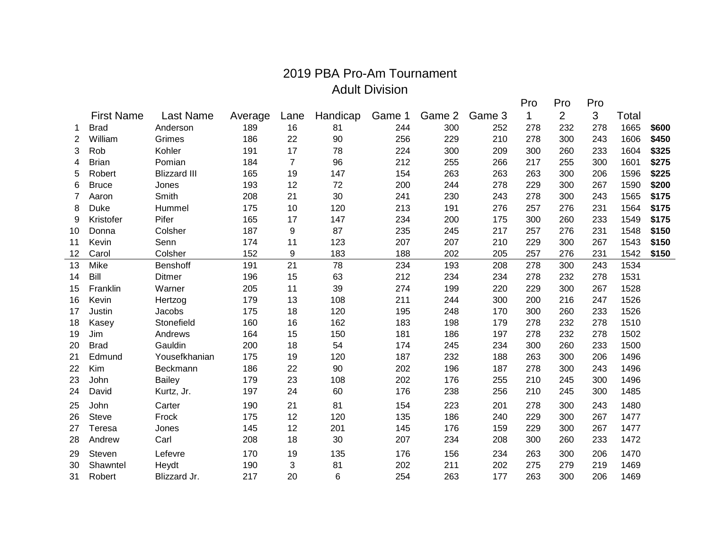## 2019 PBA Pro-Am Tournament Adult Division

|                |                   |                     |         |                |          |        |        |        | Pro | Pro            | Pro |       |       |
|----------------|-------------------|---------------------|---------|----------------|----------|--------|--------|--------|-----|----------------|-----|-------|-------|
|                | <b>First Name</b> | Last Name           | Average | Lane           | Handicap | Game 1 | Game 2 | Game 3 | 1   | $\overline{2}$ | 3   | Total |       |
| 1              | <b>Brad</b>       | Anderson            | 189     | 16             | 81       | 244    | 300    | 252    | 278 | 232            | 278 | 1665  | \$600 |
| 2              | William           | Grimes              | 186     | 22             | 90       | 256    | 229    | 210    | 278 | 300            | 243 | 1606  | \$450 |
| 3              | Rob               | Kohler              | 191     | 17             | 78       | 224    | 300    | 209    | 300 | 260            | 233 | 1604  | \$325 |
| 4              | <b>Brian</b>      | Pomian              | 184     | $\overline{7}$ | 96       | 212    | 255    | 266    | 217 | 255            | 300 | 1601  | \$275 |
| 5              | Robert            | <b>Blizzard III</b> | 165     | 19             | 147      | 154    | 263    | 263    | 263 | 300            | 206 | 1596  | \$225 |
| 6              | <b>Bruce</b>      | Jones               | 193     | 12             | 72       | 200    | 244    | 278    | 229 | 300            | 267 | 1590  | \$200 |
| $\overline{7}$ | Aaron             | Smith               | 208     | 21             | 30       | 241    | 230    | 243    | 278 | 300            | 243 | 1565  | \$175 |
| 8              | <b>Duke</b>       | Hummel              | 175     | 10             | 120      | 213    | 191    | 276    | 257 | 276            | 231 | 1564  | \$175 |
| 9              | Kristofer         | Pifer               | 165     | 17             | 147      | 234    | 200    | 175    | 300 | 260            | 233 | 1549  | \$175 |
| 10             | Donna             | Colsher             | 187     | 9              | 87       | 235    | 245    | 217    | 257 | 276            | 231 | 1548  | \$150 |
| 11             | Kevin             | Senn                | 174     | 11             | 123      | 207    | 207    | 210    | 229 | 300            | 267 | 1543  | \$150 |
| 12             | Carol             | Colsher             | 152     | 9              | 183      | 188    | 202    | 205    | 257 | 276            | 231 | 1542  | \$150 |
| 13             | Mike              | <b>Benshoff</b>     | 191     | 21             | 78       | 234    | 193    | 208    | 278 | 300            | 243 | 1534  |       |
| 14             | Bill              | Ditmer              | 196     | 15             | 63       | 212    | 234    | 234    | 278 | 232            | 278 | 1531  |       |
| 15             | Franklin          | Warner              | 205     | 11             | 39       | 274    | 199    | 220    | 229 | 300            | 267 | 1528  |       |
| 16             | Kevin             | Hertzog             | 179     | 13             | 108      | 211    | 244    | 300    | 200 | 216            | 247 | 1526  |       |
| 17             | Justin            | Jacobs              | 175     | 18             | 120      | 195    | 248    | 170    | 300 | 260            | 233 | 1526  |       |
| 18             | Kasey             | Stonefield          | 160     | 16             | 162      | 183    | 198    | 179    | 278 | 232            | 278 | 1510  |       |
| 19             | Jim               | Andrews             | 164     | 15             | 150      | 181    | 186    | 197    | 278 | 232            | 278 | 1502  |       |
| 20             | <b>Brad</b>       | Gauldin             | 200     | 18             | 54       | 174    | 245    | 234    | 300 | 260            | 233 | 1500  |       |
| 21             | Edmund            | Yousefkhanian       | 175     | 19             | 120      | 187    | 232    | 188    | 263 | 300            | 206 | 1496  |       |
| 22             | Kim               | Beckmann            | 186     | 22             | 90       | 202    | 196    | 187    | 278 | 300            | 243 | 1496  |       |
| 23             | John              | <b>Bailey</b>       | 179     | 23             | 108      | 202    | 176    | 255    | 210 | 245            | 300 | 1496  |       |
| 24             | David             | Kurtz, Jr.          | 197     | 24             | 60       | 176    | 238    | 256    | 210 | 245            | 300 | 1485  |       |
| 25             | John              | Carter              | 190     | 21             | 81       | 154    | 223    | 201    | 278 | 300            | 243 | 1480  |       |
| 26             | <b>Steve</b>      | Frock               | 175     | 12             | 120      | 135    | 186    | 240    | 229 | 300            | 267 | 1477  |       |
| 27             | Teresa            | Jones               | 145     | 12             | 201      | 145    | 176    | 159    | 229 | 300            | 267 | 1477  |       |
| 28             | Andrew            | Carl                | 208     | 18             | 30       | 207    | 234    | 208    | 300 | 260            | 233 | 1472  |       |
| 29             | Steven            | Lefevre             | 170     | 19             | 135      | 176    | 156    | 234    | 263 | 300            | 206 | 1470  |       |
| 30             | Shawntel          | Heydt               | 190     | 3              | 81       | 202    | 211    | 202    | 275 | 279            | 219 | 1469  |       |
| 31             | Robert            | Blizzard Jr.        | 217     | 20             | 6        | 254    | 263    | 177    | 263 | 300            | 206 | 1469  |       |